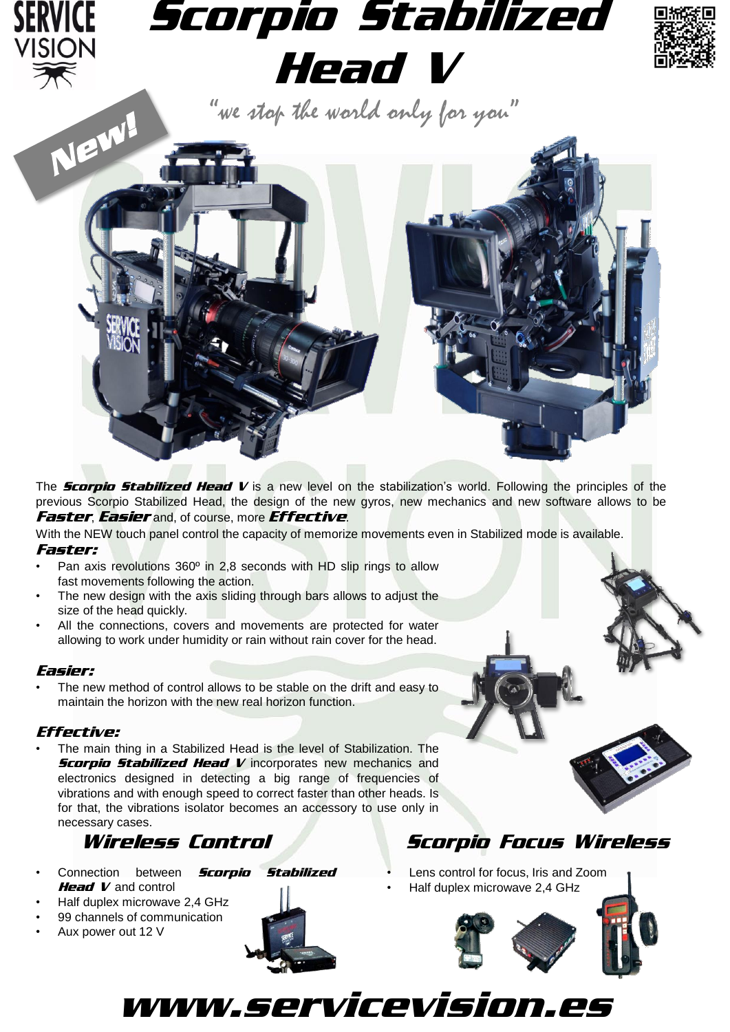

The *Scorpio Stabilized Head <sup>V</sup>* is a new level on the stabilization's world. Following the principles of the previous Scorpio Stabilized Head, the design of the new gyros, new mechanics and new software allows to be *Faster*, *Easier* and, of course, more *Effective*.

With the NEW touch panel control the capacity of memorize movements even in Stabilized mode is available. *Faster:*

- Pan axis revolutions 360º in 2,8 seconds with HD slip rings to allow fast movements following the action.
- The new design with the axis sliding through bars allows to adjust the size of the head quickly.
- All the connections, covers and movements are protected for water allowing to work under humidity or rain without rain cover for the head.

## *Easier:*

The new method of control allows to be stable on the drift and easy to maintain the horizon with the new real horizon function.

## *Effective:*

• The main thing in a Stabilized Head is the level of Stabilization. The *Scorpio Stabilized Head V* incorporates new mechanics and electronics designed in detecting a big range of frequencies of vibrations and with enough speed to correct faster than other heads. Is for that, the vibrations isolator becomes an accessory to use only in necessary cases.

- Connection between *Scorpio Stabilized Head V* and control
- Half duplex microwave 2,4 GHz
- 99 channels of communication
- Aux power out 12 V



www.servicevision.es

# *Wireless Control Scorpio Focus Wireless*

• Lens control for focus, Iris and Zoom • Half duplex microwave 2,4 GHz